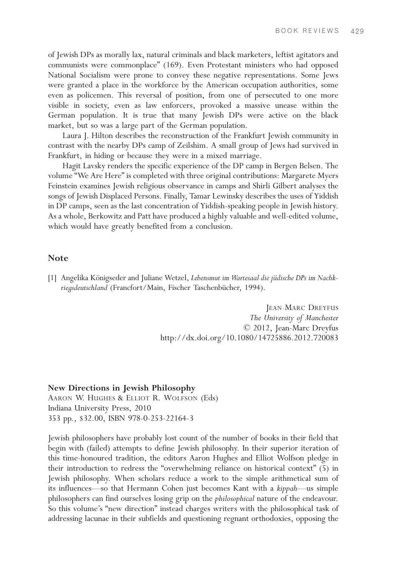of Jewish DPs as morally lax, natural criminals and black marketers, leftist agitators and communists were commonplace" (169). Even Protestant ministers who had opposed National Socialism were prone to convey these negative representations. Some Jews were granted a place in the workforce by the American occupation authorities, some even as policemen. This reversal of position, from one of persecuted to one more visible in society, even as law enforcers, provoked a massive unease within the German population. It is true that many Jewish DPs were active on the black market, but so was a large part of the German population.

Laura J. Hilton describes the reconstruction of the Frankfurt Jewish community in contrast with the nearby DPs camp of Zeilshim. A small group of Jews had survived in Frankfurt, in hiding or because they were in a mixed marriage.

Hagit Lavsky renders the specific experience of the DP camp in Bergen Belsen. The volume "We Are Here" is completed with three original contributions: Margarete Myers Feinstein examines Jewish religious observance in camps and Shirli Gilbert analyses the songs of Jewish Displaced Persons. Finally, Tamar Lewinsky describes the uses of Yiddish in DP camps, seen as the last concentration of Yiddish-speaking people in Jewish history. As a whole, Berkowitz and Patt have produced a highly valuable and well-edited volume, which would have greatly benefited from a conclusion.

## Note

[1] Angelika Königseder and Juliane Wetzel, Lebensmut im Wartesaal die jüdische DPs im Nachkriegsdeutschland (Francfort/Main, Fischer Taschenbücher, 1994).

> JEAN-MARC DREYFUS The University of Manchester © 2012, Jean-Marc Dreyfus http://dx.doi.org/10.1080/14725886.2012.720083

## New Directions in Jewish Philosophy

AARON W. HUGHES & ELLIOT R. WOLFSON (Eds) Indiana University Press, 2010 353 pp., \$32.00, ISBN 978-0-253-22164-3

Jewish philosophers have probably lost count of the number of books in their field that begin with (failed) attempts to define Jewish philosophy. In their superior iteration of this time-honoured tradition, the editors Aaron Hughes and Elliot Wolfson pledge in their introduction to redress the "overwhelming reliance on historical context" (5) in Jewish philosophy. When scholars reduce a work to the simple arithmetical sum of its influences––so that Hermann Cohen just becomes Kant with a kippah––us simple philosophers can find ourselves losing grip on the philosophical nature of the endeavour. So this volume's "new direction" instead charges writers with the philosophical task of addressing lacunae in their subfields and questioning regnant orthodoxies, opposing the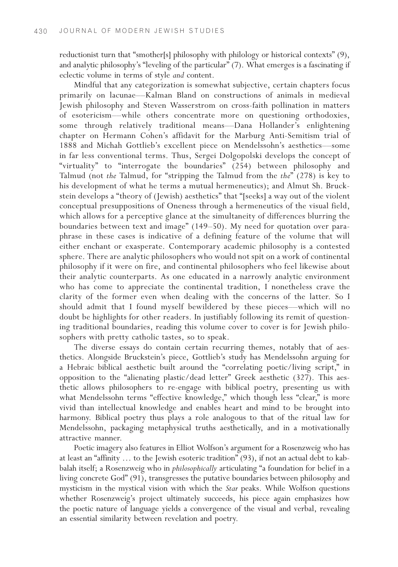reductionist turn that "smother[s] philosophy with philology or historical contexts" (9), and analytic philosophy's "leveling of the particular" (7). What emerges is a fascinating if eclectic volume in terms of style and content.

Mindful that any categorization is somewhat subjective, certain chapters focus primarily on lacunae––Kalman Bland on constructions of animals in medieval Jewish philosophy and Steven Wasserstrom on cross-faith pollination in matters of esotericism––while others concentrate more on questioning orthodoxies, some through relatively traditional means––Dana Hollander's enlightening chapter on Hermann Cohen's affidavit for the Marburg Anti-Semitism trial of 1888 and Michah Gottlieb's excellent piece on Mendelssohn's aesthetics––some in far less conventional terms. Thus, Sergei Dolgopolski develops the concept of "virtuality" to "interrogate the boundaries" (254) between philosophy and Talmud (not the Talmud, for "stripping the Talmud from the the" (278) is key to his development of what he terms a mutual hermeneutics); and Almut Sh. Bruckstein develops a "theory of (Jewish) aesthetics" that "[seeks] a way out of the violent conceptual presuppositions of Oneness through a hermeneutics of the visual field, which allows for a perceptive glance at the simultaneity of differences blurring the boundaries between text and image" (149–50). My need for quotation over paraphrase in these cases is indicative of a defining feature of the volume that will either enchant or exasperate. Contemporary academic philosophy is a contested sphere. There are analytic philosophers who would not spit on a work of continental philosophy if it were on fire, and continental philosophers who feel likewise about their analytic counterparts. As one educated in a narrowly analytic environment who has come to appreciate the continental tradition, I nonetheless crave the clarity of the former even when dealing with the concerns of the latter. So I should admit that I found myself bewildered by these pieces––which will no doubt be highlights for other readers. In justifiably following its remit of questioning traditional boundaries, reading this volume cover to cover is for Jewish philosophers with pretty catholic tastes, so to speak.

The diverse essays do contain certain recurring themes, notably that of aesthetics. Alongside Bruckstein's piece, Gottlieb's study has Mendelssohn arguing for a Hebraic biblical aesthetic built around the "correlating poetic/living script," in opposition to the "alienating plastic/dead letter" Greek aesthetic (327). This aesthetic allows philosophers to re-engage with biblical poetry, presenting us with what Mendelssohn terms "effective knowledge," which though less "clear," is more vivid than intellectual knowledge and enables heart and mind to be brought into harmony. Biblical poetry thus plays a role analogous to that of the ritual law for Mendelssohn, packaging metaphysical truths aesthetically, and in a motivationally attractive manner.

Poetic imagery also features in Elliot Wolfson's argument for a Rosenzweig who has at least an "affinity … to the Jewish esoteric tradition" (93), if not an actual debt to kabbalah itself; a Rosenzweig who in *philosophically* articulating "a foundation for belief in a living concrete God" (91), transgresses the putative boundaries between philosophy and mysticism in the mystical vision with which the Star peaks. While Wolfson questions whether Rosenzweig's project ultimately succeeds, his piece again emphasizes how the poetic nature of language yields a convergence of the visual and verbal, revealing an essential similarity between revelation and poetry.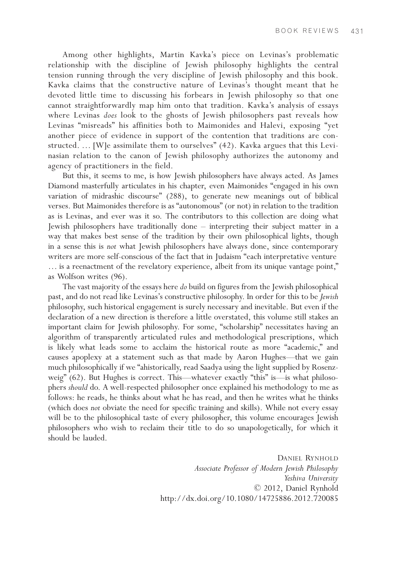Among other highlights, Martin Kavka's piece on Levinas's problematic relationship with the discipline of Jewish philosophy highlights the central tension running through the very discipline of Jewish philosophy and this book. Kavka claims that the constructive nature of Levinas's thought meant that he devoted little time to discussing his forbears in Jewish philosophy so that one cannot straightforwardly map him onto that tradition. Kavka's analysis of essays where Levinas *does* look to the ghosts of Jewish philosophers past reveals how Levinas "misreads" his affinities both to Maimonides and Halevi, exposing "yet another piece of evidence in support of the contention that traditions are constructed. … [W]e assimilate them to ourselves" (42). Kavka argues that this Levinasian relation to the canon of Jewish philosophy authorizes the autonomy and agency of practitioners in the field.

But this, it seems to me, is how Jewish philosophers have always acted. As James Diamond masterfully articulates in his chapter, even Maimonides "engaged in his own variation of midrashic discourse" (288), to generate new meanings out of biblical verses. But Maimonides therefore is as "autonomous" (or not) in relation to the tradition as is Levinas, and ever was it so. The contributors to this collection are doing what Jewish philosophers have traditionally done – interpreting their subject matter in a way that makes best sense of the tradition by their own philosophical lights, though in a sense this is not what Jewish philosophers have always done, since contemporary writers are more self-conscious of the fact that in Judaism "each interpretative venture … is a reenactment of the revelatory experience, albeit from its unique vantage point," as Wolfson writes (96).

The vast majority of the essays here do build on figures from the Jewish philosophical past, and do not read like Levinas's constructive philosophy. In order for this to be Jewish philosophy, such historical engagement is surely necessary and inevitable. But even if the declaration of a new direction is therefore a little overstated, this volume still stakes an important claim for Jewish philosophy. For some, "scholarship" necessitates having an algorithm of transparently articulated rules and methodological prescriptions, which is likely what leads some to acclaim the historical route as more "academic," and causes apoplexy at a statement such as that made by Aaron Hughes––that we gain much philosophically if we "ahistorically, read Saadya using the light supplied by Rosenzweig" (62). But Hughes is correct. This—whatever exactly "this" is—is what philosophers should do. A well-respected philosopher once explained his methodology to me as follows: he reads, he thinks about what he has read, and then he writes what he thinks (which does not obviate the need for specific training and skills). While not every essay will be to the philosophical taste of every philosopher, this volume encourages Jewish philosophers who wish to reclaim their title to do so unapologetically, for which it should be lauded.

> DANIEL RYNHOLD Associate Professor of Modern Jewish Philosophy Yeshiva University © 2012, Daniel Rynhold http://dx.doi.org/10.1080/14725886.2012.720085